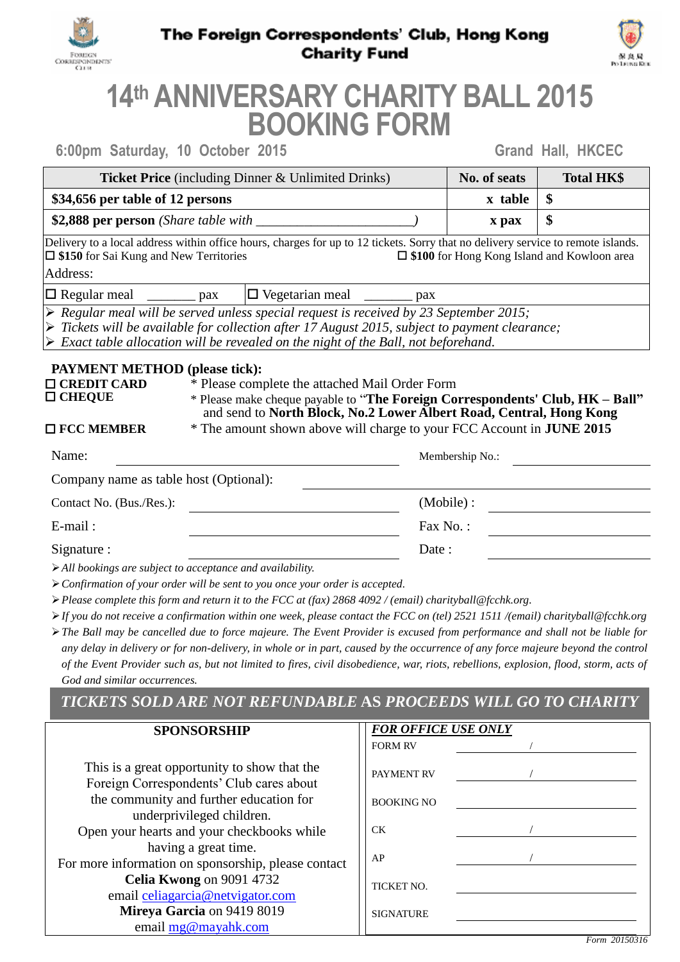

### The Foreign Correspondents' Club, Hong Kong **Charity Fund**



# **14 th ANNIVERSARY CHARITY BALL 2015 BOOKING FORM**

|  | 6:00pm Saturday, 10 October 2015 |  |  |  |  |
|--|----------------------------------|--|--|--|--|
|--|----------------------------------|--|--|--|--|

**6:00pm Saturday, 10 October 2015 Grand Hall, HKCEC**

| <b>Ticket Price</b> (including Dinner & Unlimited Drinks) | No. of seats            | <b>Total HK\$</b> |
|-----------------------------------------------------------|-------------------------|-------------------|
| \$34,656 per table of 12 persons                          | $x$ table $\frac{1}{3}$ |                   |
| \$2,888 per person (Share table with                      | x pax                   | \$                |

Delivery to a local address within office hours, charges for up to 12 tickets. Sorry that no delivery service to remote islands. **\$150** for Sai Kung and New Territories **\$100** for Hong Kong Island and Kowloon area Address:

 $\Box$  Regular meal  $\Box$  pax  $\Box$  Vegetarian meal pax

*Regular meal will be served unless special request is received by 23 September 2015;*

*Tickets will be available for collection after 17 August 2015, subject to payment clearance;*

*Exact table allocation will be revealed on the night of the Ball, not beforehand.*

#### **PAYMENT METHOD (please tick):**

- 
- 
- **□ CREDIT CARD** \* Please complete the attached Mail Order Form<br>□ CHEOUE \* Please make cheque payable to "The Foreign Co **CHEQUE** \* Please make cheque payable to "**The Foreign Correspondents' Club, HK – Ball"** and send to **North Block, No.2 Lower Albert Road, Central, Hong Kong**
- $\Box$  FCC MEMBER

| and send to North Block, No.2 Lower Albert Road, Central, Hong Kong          |  |
|------------------------------------------------------------------------------|--|
| * The amount shown above will charge to your FCC Account in <b>JUNE 2015</b> |  |

| Name:                                                                                     | Membership No.: |
|-------------------------------------------------------------------------------------------|-----------------|
| Company name as table host (Optional):                                                    |                 |
| Contact No. (Bus./Res.):                                                                  | (Mobile) :      |
| $E$ -mail:                                                                                | Fax No.:        |
| Signature :                                                                               | Date:           |
| $\sim$ $\sim$<br>$\mathbf{r}$ . The set of $\mathbf{r}$ and $\mathbf{r}$ and $\mathbf{r}$ |                 |

*All bookings are subject to acceptance and availability.*

*Confirmation of your order will be sent to you once your order is accepted.*

*Please complete this form and return it to the FCC at (fax) 2868 4092 / (email) charityball@fcchk.org.*

*If you do not receive a confirmation within one week, please contact the FCC on (tel) 2521 1511 /(email) charityball@fcchk.org*

*The Ball may be cancelled due to force majeure. The Event Provider is excused from performance and shall not be liable for any delay in delivery or for non-delivery, in whole or in part, caused by the occurrence of any force majeure beyond the control of the Event Provider such as, but not limited to fires, civil disobedience, war, riots, rebellions, explosion, flood, storm, acts of God and similar occurrences.*

## *TICKETS SOLD ARE NOT REFUNDABLE* **AS** *PROCEEDS WILL GO TO CHARITY*

| <b>SPONSORSHIP</b>                                                                       | <b>FOR OFFICE USE ONLY</b> |  |
|------------------------------------------------------------------------------------------|----------------------------|--|
|                                                                                          | <b>FORM RV</b>             |  |
| This is a great opportunity to show that the<br>Foreign Correspondents' Club cares about | <b>PAYMENT RV</b>          |  |
| the community and further education for                                                  | <b>BOOKING NO</b>          |  |
| underprivileged children.                                                                |                            |  |
| Open your hearts and your checkbooks while                                               | CK.                        |  |
| having a great time.<br>For more information on sponsorship, please contact              | AP                         |  |
| Celia Kwong on 9091 4732                                                                 | TICKET NO.                 |  |
| email celiagarcia@netvigator.com                                                         |                            |  |
| Mireya Garcia on 9419 8019                                                               | <b>SIGNATURE</b>           |  |
| email $mg@$ mayahk.com                                                                   |                            |  |